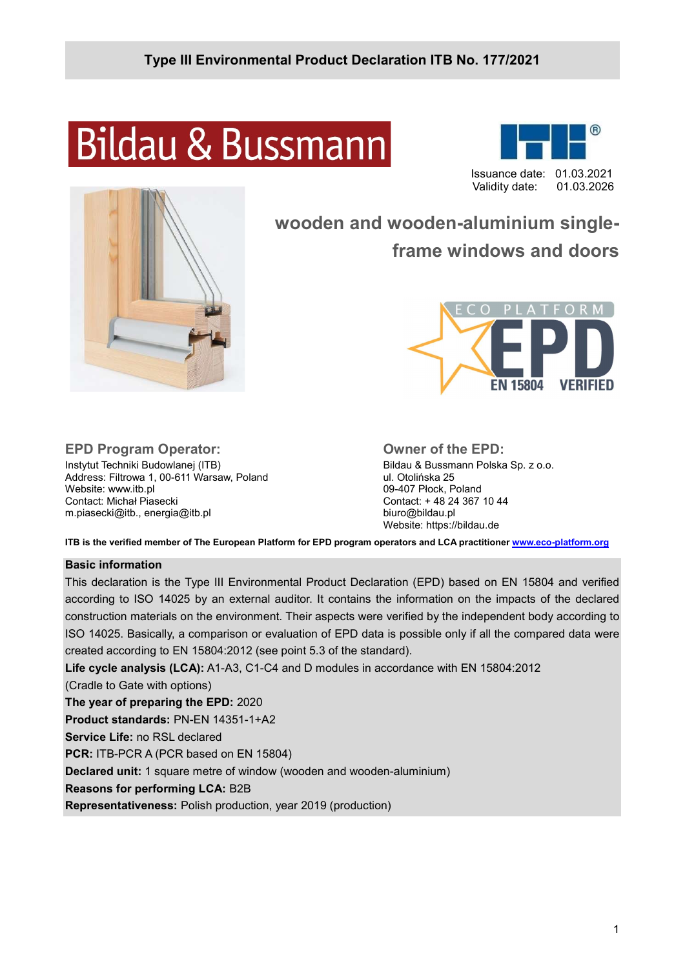# **Bildau & Bussmann**





# wooden and wooden-aluminium singleframe windows and doors



# EPD Program Operator:

Instytut Techniki Budowlanej (ITB) Address: Filtrowa 1, 00-611 Warsaw, Poland Website: www.itb.pl Contact: Michał Piasecki m.piasecki@itb., energia@itb.pl

#### Owner of the EPD:

Bildau & Bussmann Polska Sp. z o.o. ul. Otolińska 25 09-407 Płock, Poland Contact: + 48 24 367 10 44 biuro@bildau.pl Website: https://bildau.de

ITB is the verified member of The European Platform for EPD program operators and LCA practitioner www.eco-platform.org

#### Basic information

This declaration is the Type III Environmental Product Declaration (EPD) based on EN 15804 and verified according to ISO 14025 by an external auditor. It contains the information on the impacts of the declared construction materials on the environment. Their aspects were verified by the independent body according to ISO 14025. Basically, a comparison or evaluation of EPD data is possible only if all the compared data were created according to EN 15804:2012 (see point 5.3 of the standard).

Life cycle analysis (LCA): A1-A3, C1-C4 and D modules in accordance with EN 15804:2012 (Cradle to Gate with options) The year of preparing the EPD: 2020 Product standards: PN-EN 14351-1+A2 Service Life: no RSL declared PCR: ITB-PCR A (PCR based on EN 15804) Declared unit: 1 square metre of window (wooden and wooden-aluminium) Reasons for performing LCA: B2B Representativeness: Polish production, year 2019 (production)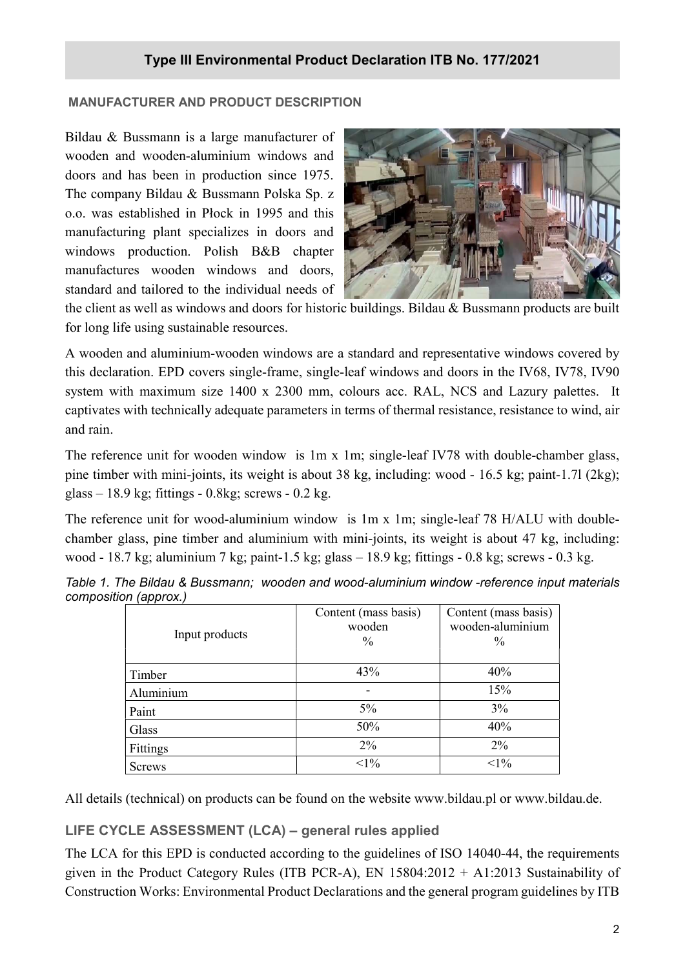#### MANUFACTURER AND PRODUCT DESCRIPTION

Bildau & Bussmann is a large manufacturer of wooden and wooden-aluminium windows and doors and has been in production since 1975. The company Bildau & Bussmann Polska Sp. z o.o. was established in Płock in 1995 and this manufacturing plant specializes in doors and windows production. Polish B&B chapter manufactures wooden windows and doors, standard and tailored to the individual needs of



the client as well as windows and doors for historic buildings. Bildau & Bussmann products are built for long life using sustainable resources.

A wooden and aluminium-wooden windows are a standard and representative windows covered by this declaration. EPD covers single-frame, single-leaf windows and doors in the IV68, IV78, IV90 system with maximum size 1400 x 2300 mm, colours acc. RAL, NCS and Lazury palettes. It captivates with technically adequate parameters in terms of thermal resistance, resistance to wind, air and rain.

The reference unit for wooden window is 1m x 1m; single-leaf IV78 with double-chamber glass, pine timber with mini-joints, its weight is about 38 kg, including: wood - 16.5 kg; paint-1.7l (2kg); glass – 18.9 kg; fittings - 0.8kg; screws - 0.2 kg.

The reference unit for wood-aluminium window is 1m x 1m; single-leaf 78 H/ALU with doublechamber glass, pine timber and aluminium with mini-joints, its weight is about 47 kg, including: wood - 18.7 kg; aluminium 7 kg; paint-1.5 kg; glass – 18.9 kg; fittings - 0.8 kg; screws - 0.3 kg.

| - 1- 1-<br>Input products | Content (mass basis)<br>wooden<br>$\frac{0}{0}$ | Content (mass basis)<br>wooden-aluminium<br>$\frac{0}{0}$ |
|---------------------------|-------------------------------------------------|-----------------------------------------------------------|
| Timber                    | 43%                                             | 40%                                                       |
| Aluminium                 |                                                 | 15%                                                       |
| Paint                     | $5\%$                                           | 3%                                                        |
| Glass                     | 50%                                             | 40%                                                       |
| Fittings                  | 2%                                              | 2%                                                        |
| <b>Screws</b>             | $1\%$                                           | $<1\%$                                                    |

Table 1. The Bildau & Bussmann; wooden and wood-aluminium window -reference input materials composition (approx.)

All details (technical) on products can be found on the website www.bildau.pl or www.bildau.de.

# LIFE CYCLE ASSESSMENT (LCA) – general rules applied

The LCA for this EPD is conducted according to the guidelines of ISO 14040-44, the requirements given in the Product Category Rules (ITB PCR-A), EN  $15804:2012 + A1:2013$  Sustainability of Construction Works: Environmental Product Declarations and the general program guidelines by ITB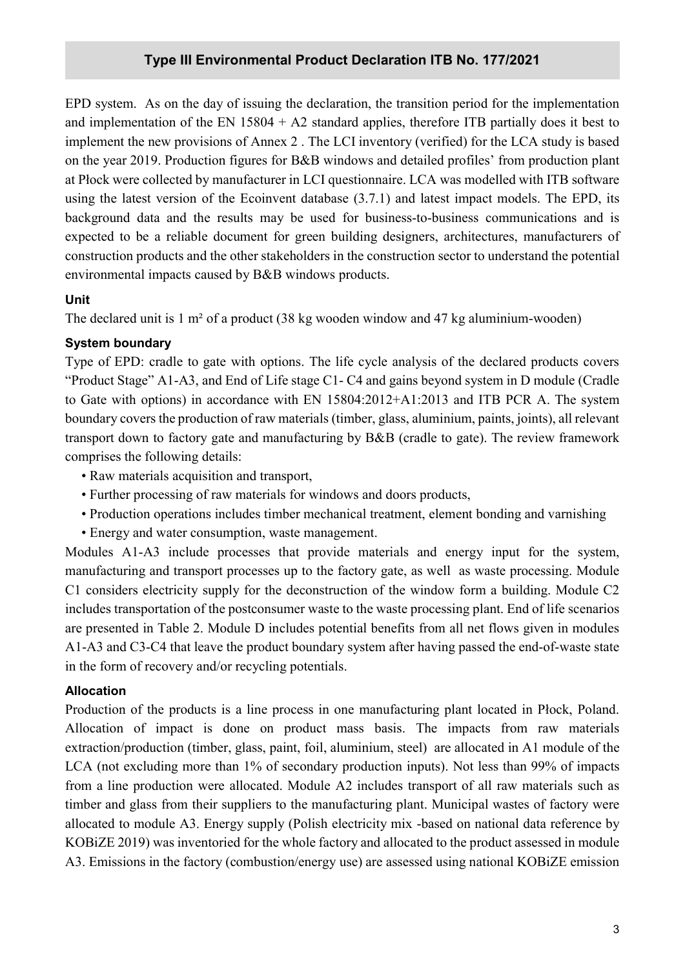#### Type III Environmental Product Declaration ITB No. 177/2021

EPD system. As on the day of issuing the declaration, the transition period for the implementation and implementation of the EN  $15804 + A2$  standard applies, therefore ITB partially does it best to implement the new provisions of Annex 2 . The LCI inventory (verified) for the LCA study is based on the year 2019. Production figures for B&B windows and detailed profiles' from production plant at Płock were collected by manufacturer in LCI questionnaire. LCA was modelled with ITB software using the latest version of the Ecoinvent database (3.7.1) and latest impact models. The EPD, its background data and the results may be used for business-to-business communications and is expected to be a reliable document for green building designers, architectures, manufacturers of construction products and the other stakeholders in the construction sector to understand the potential environmental impacts caused by B&B windows products.

#### Unit

The declared unit is 1 m² of a product (38 kg wooden window and 47 kg aluminium-wooden)

#### System boundary

Type of EPD: cradle to gate with options. The life cycle analysis of the declared products covers "Product Stage" A1-A3, and End of Life stage C1- C4 and gains beyond system in D module (Cradle to Gate with options) in accordance with EN 15804:2012+A1:2013 and ITB PCR A. The system boundary covers the production of raw materials (timber, glass, aluminium, paints, joints), all relevant transport down to factory gate and manufacturing by B&B (cradle to gate). The review framework comprises the following details:

- Raw materials acquisition and transport,
- Further processing of raw materials for windows and doors products,
- Production operations includes timber mechanical treatment, element bonding and varnishing
- Energy and water consumption, waste management.

Modules A1-A3 include processes that provide materials and energy input for the system, manufacturing and transport processes up to the factory gate, as well as waste processing. Module C1 considers electricity supply for the deconstruction of the window form a building. Module C2 includes transportation of the postconsumer waste to the waste processing plant. End of life scenarios are presented in Table 2. Module D includes potential benefits from all net flows given in modules A1-A3 and C3-C4 that leave the product boundary system after having passed the end-of-waste state in the form of recovery and/or recycling potentials.

#### Allocation

Production of the products is a line process in one manufacturing plant located in Płock, Poland. Allocation of impact is done on product mass basis. The impacts from raw materials extraction/production (timber, glass, paint, foil, aluminium, steel) are allocated in A1 module of the LCA (not excluding more than 1% of secondary production inputs). Not less than 99% of impacts from a line production were allocated. Module A2 includes transport of all raw materials such as timber and glass from their suppliers to the manufacturing plant. Municipal wastes of factory were allocated to module A3. Energy supply (Polish electricity mix -based on national data reference by KOBiZE 2019) was inventoried for the whole factory and allocated to the product assessed in module A3. Emissions in the factory (combustion/energy use) are assessed using national KOBiZE emission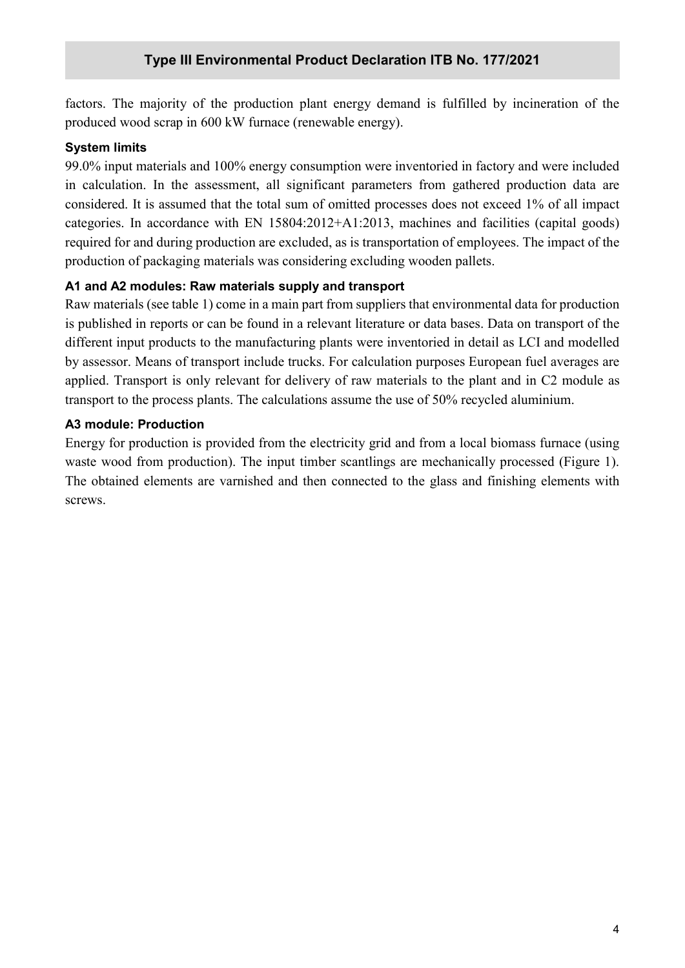factors. The majority of the production plant energy demand is fulfilled by incineration of the produced wood scrap in 600 kW furnace (renewable energy).

#### System limits

99.0% input materials and 100% energy consumption were inventoried in factory and were included in calculation. In the assessment, all significant parameters from gathered production data are considered. It is assumed that the total sum of omitted processes does not exceed 1% of all impact categories. In accordance with EN 15804:2012+A1:2013, machines and facilities (capital goods) required for and during production are excluded, as is transportation of employees. The impact of the production of packaging materials was considering excluding wooden pallets.

# A1 and A2 modules: Raw materials supply and transport

Raw materials (see table 1) come in a main part from suppliers that environmental data for production is published in reports or can be found in a relevant literature or data bases. Data on transport of the different input products to the manufacturing plants were inventoried in detail as LCI and modelled by assessor. Means of transport include trucks. For calculation purposes European fuel averages are applied. Transport is only relevant for delivery of raw materials to the plant and in C2 module as transport to the process plants. The calculations assume the use of 50% recycled aluminium.

#### A3 module: Production

Energy for production is provided from the electricity grid and from a local biomass furnace (using waste wood from production). The input timber scantlings are mechanically processed (Figure 1). The obtained elements are varnished and then connected to the glass and finishing elements with screws.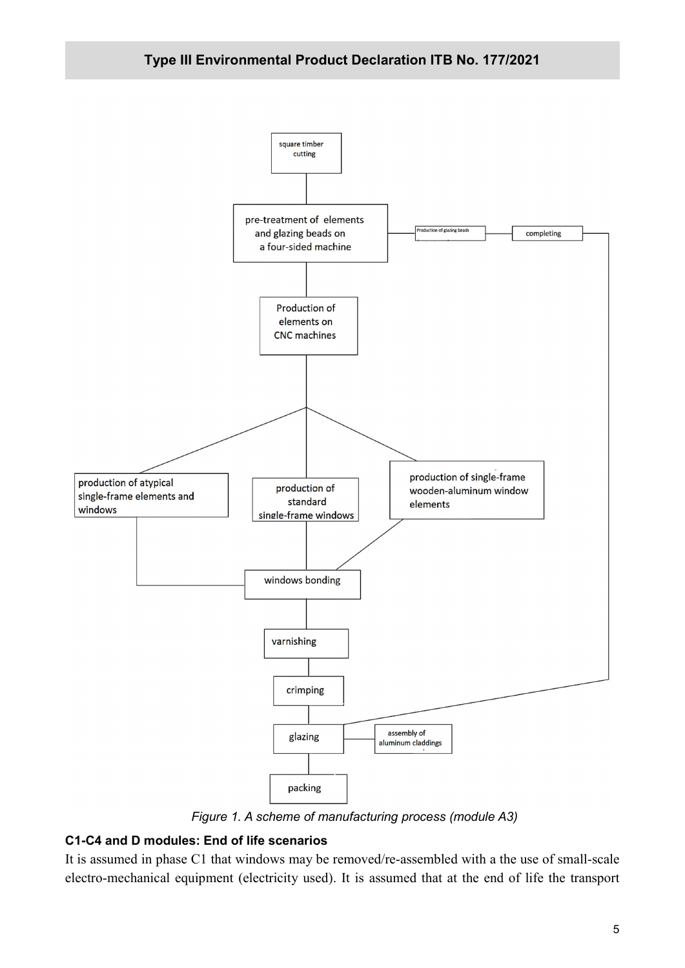

Figure 1. A scheme of manufacturing process (module A3)

#### C1-C4 and D modules: End of life scenarios

It is assumed in phase C1 that windows may be removed/re-assembled with a the use of small-scale electro-mechanical equipment (electricity used). It is assumed that at the end of life the transport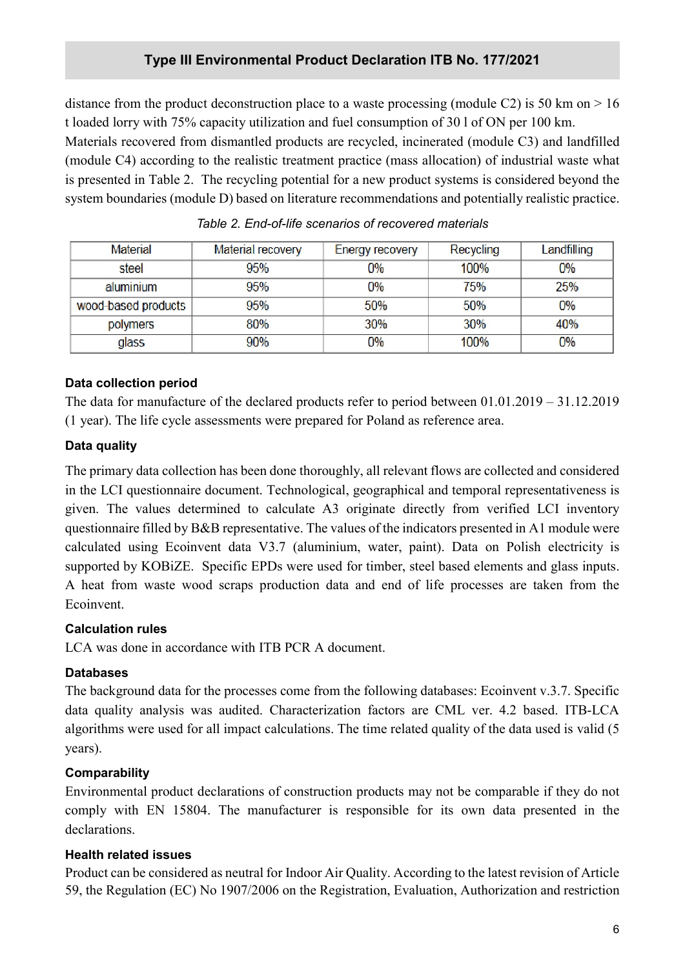distance from the product deconstruction place to a waste processing (module C2) is 50 km on  $> 16$ t loaded lorry with 75% capacity utilization and fuel consumption of 30 l of ON per 100 km.

Materials recovered from dismantled products are recycled, incinerated (module C3) and landfilled (module C4) according to the realistic treatment practice (mass allocation) of industrial waste what is presented in Table 2. The recycling potential for a new product systems is considered beyond the system boundaries (module D) based on literature recommendations and potentially realistic practice.

| Material            | Material recovery | Energy recovery | Recycling | Landfilling |
|---------------------|-------------------|-----------------|-----------|-------------|
| steel               | 95%               | 0%              | 100%      | 0%          |
| aluminium           | 95%               | 0%              | 75%       | 25%         |
| wood-based products | 95%               | 50%             | 50%       | $0\%$       |
| polymers            | 80%               | 30%             | 30%       | 40%         |
| glass               | 90%               | 0%              | 100%      | $0\%$       |

Table 2. End-of-life scenarios of recovered materials

#### Data collection period

The data for manufacture of the declared products refer to period between 01.01.2019 – 31.12.2019 (1 year). The life cycle assessments were prepared for Poland as reference area.

#### Data quality

The primary data collection has been done thoroughly, all relevant flows are collected and considered in the LCI questionnaire document. Technological, geographical and temporal representativeness is given. The values determined to calculate A3 originate directly from verified LCI inventory questionnaire filled by B&B representative. The values of the indicators presented in A1 module were calculated using Ecoinvent data V3.7 (aluminium, water, paint). Data on Polish electricity is supported by KOBiZE. Specific EPDs were used for timber, steel based elements and glass inputs. A heat from waste wood scraps production data and end of life processes are taken from the Ecoinvent.

# Calculation rules

LCA was done in accordance with ITB PCR A document.

# Databases

The background data for the processes come from the following databases: Ecoinvent v.3.7. Specific data quality analysis was audited. Characterization factors are CML ver. 4.2 based. ITB-LCA algorithms were used for all impact calculations. The time related quality of the data used is valid (5 years).

# **Comparability**

Environmental product declarations of construction products may not be comparable if they do not comply with EN 15804. The manufacturer is responsible for its own data presented in the declarations.

# Health related issues

Product can be considered as neutral for Indoor Air Quality. According to the latest revision of Article 59, the Regulation (EC) No 1907/2006 on the Registration, Evaluation, Authorization and restriction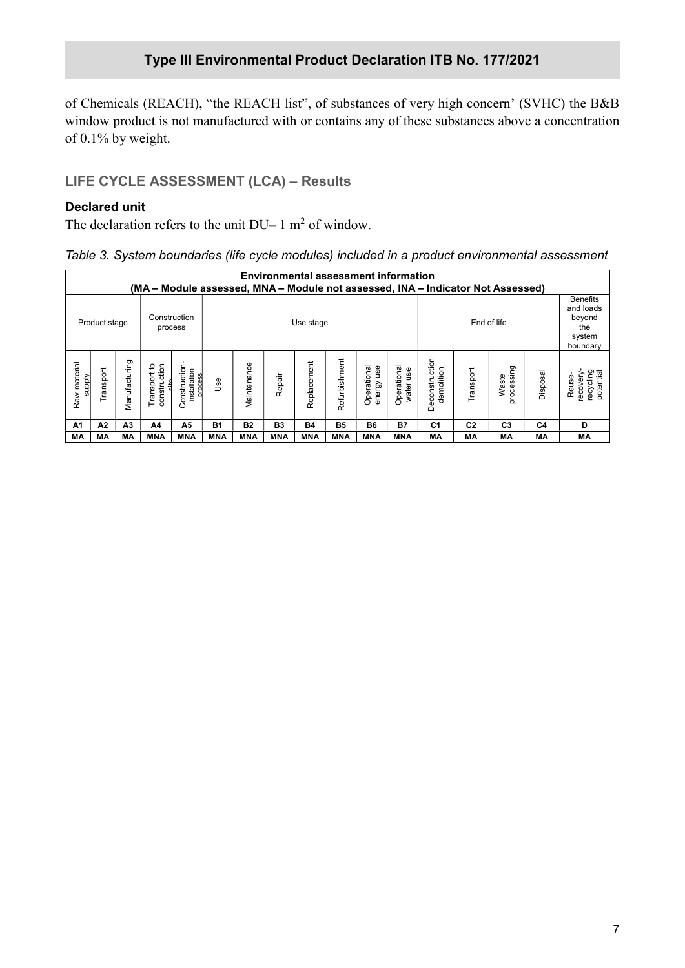of Chemicals (REACH), "the REACH list", of substances of very high concern' (SVHC) the B&B window product is not manufactured with or contains any of these substances above a concentration of 0.1% by weight.

# LIFE CYCLE ASSESSMENT (LCA) – Results

#### Declared unit

The declaration refers to the unit  $DU-1$  m<sup>2</sup> of window.

| Table 3. System boundaries (life cycle modules) included in a product environmental assessment |  |  |  |
|------------------------------------------------------------------------------------------------|--|--|--|
|                                                                                                |  |  |  |

|                        | <b>Environmental assessment information</b><br>(MA – Module assessed, MNA – Module not assessed, INA – Indicator Not Assessed) |                |                                      |                                          |           |             |                |             |               |                              |                               |                              |                |                     |                                                                     |                                              |
|------------------------|--------------------------------------------------------------------------------------------------------------------------------|----------------|--------------------------------------|------------------------------------------|-----------|-------------|----------------|-------------|---------------|------------------------------|-------------------------------|------------------------------|----------------|---------------------|---------------------------------------------------------------------|----------------------------------------------|
|                        | Product stage                                                                                                                  |                | Construction<br>process              |                                          |           | Use stage   |                |             |               |                              |                               | End of life                  |                |                     | <b>Benefits</b><br>and loads<br>beyond<br>the<br>system<br>boundary |                                              |
| Raw material<br>supply | Transport                                                                                                                      | Manufacturing  | Transport to<br>construction<br>it o | Construction-<br>installation<br>process | Jse       | Maintenance | Repair         | Replacement | Refurbishment | Operational<br>use<br>energy | Operational<br>use<br>water I | Deconstruction<br>demolition | Transport      | Waste<br>processing | Disposal                                                            | recycling<br>potential<br>recovery<br>Reuse- |
| A1                     | A2                                                                                                                             | A <sub>3</sub> | A4                                   | A5                                       | <b>B1</b> | <b>B2</b>   | B <sub>3</sub> | <b>B4</b>   | <b>B5</b>     | <b>B6</b>                    | <b>B7</b>                     | C1                           | C <sub>2</sub> | C <sub>3</sub>      | C4                                                                  | D                                            |
| MА                     | MА                                                                                                                             | <b>MA</b>      | MNA                                  | <b>MNA</b>                               | MNA       | MNA         | <b>MNA</b>     | MNA         | <b>MNA</b>    | MNA                          | <b>MNA</b>                    | MA                           | МA             | МA                  | MA                                                                  | MA                                           |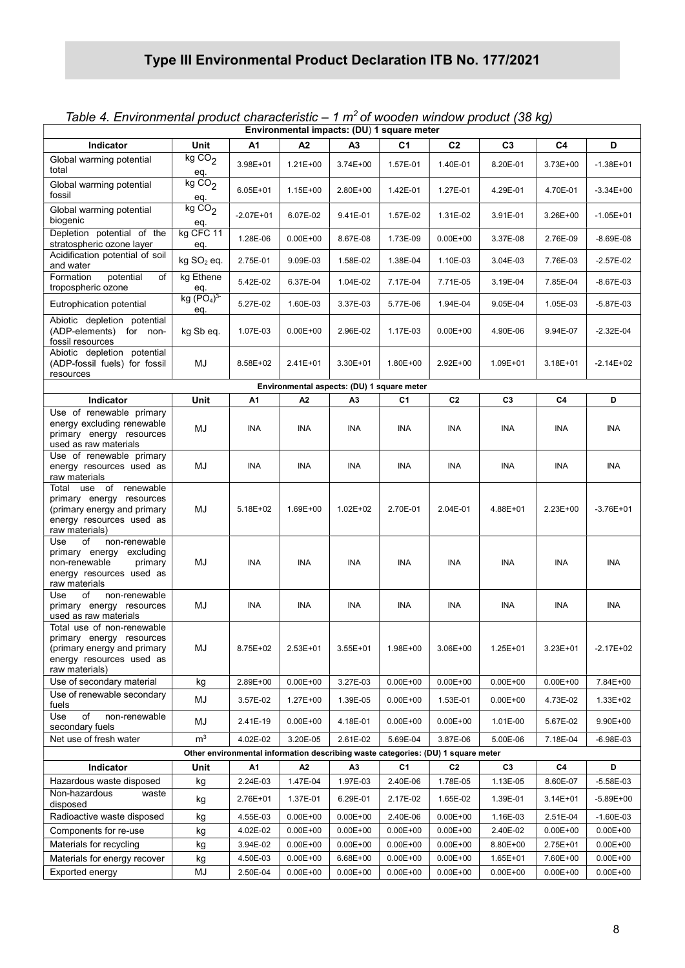|  |  | Table 4. Environmental product characteristic $-1$ m <sup>2</sup> of wooden window product (38 kg) |  |  |  |
|--|--|----------------------------------------------------------------------------------------------------|--|--|--|
|--|--|----------------------------------------------------------------------------------------------------|--|--|--|

| Unit<br>A <sub>2</sub><br>C <sub>1</sub><br>C <sub>2</sub><br>C <sub>3</sub><br>D<br>Indicator<br>А1<br>A3<br>C4<br>kg CO <sub>2</sub><br>Global warming potential<br>3.98E+01<br>$1.21E + 00$<br>3.74E+00<br>1.57E-01<br>1.40E-01<br>8.20E-01<br>3.73E+00<br>$-1.38E + 01$<br>total<br>eq.<br>kgCO <sub>2</sub><br>Global warming potential<br>$6.05E + 01$<br>$1.15E + 00$<br>2.80E+00<br>1.42E-01<br>4.29E-01<br>4.70E-01<br>1.27E-01<br>$-3.34E+00$<br>fossil<br>eq.<br>kgCO <sub>2</sub><br>Global warming potential<br>$-2.07E + 01$<br>6.07E-02<br>9.41E-01<br>1.57E-02<br>1.31E-02<br>3.91E-01<br>3.26E+00<br>$-1.05E + 01$<br>biogenic<br>eq.<br>Depletion potential of the<br>kg CFC 11<br>1.28E-06<br>$0.00E + 00$<br>8.67E-08<br>1.73E-09<br>$0.00E + 00$<br>3.37E-08<br>2.76E-09<br>$-8.69E-08$<br>stratospheric ozone layer<br>eq.<br>Acidification potential of soil<br>kg SO <sub>2</sub> eq.<br>2.75E-01<br>9.09E-03<br>1.58E-02<br>1.38E-04<br>1.10E-03<br>3.04E-03<br>7.76E-03<br>$-2.57E-02$<br>and water<br>Formation<br>potential<br>kg Ethene<br>of<br>5.42E-02<br>6.37E-04<br>1.04E-02<br>7.17E-04<br>7.71E-05<br>3.19E-04<br>7.85E-04<br>$-8.67E-03$<br>tropospheric ozone<br>eq.<br>kg (PO <sub>4</sub> ) <sup>3</sup><br>5.27E-02<br>1.60E-03<br>Eutrophication potential<br>3.37E-03<br>5.77E-06<br>1.94E-04<br>9.05E-04<br>1.05E-03<br>-5.87E-03<br>eq.<br>Abiotic depletion potential<br>(ADP-elements) for non-<br>kg Sb eq.<br>1.07E-03<br>$0.00E + 00$<br>2.96E-02<br>1.17E-03<br>$0.00E + 00$<br>4.90E-06<br>9.94E-07<br>$-2.32E-04$<br>fossil resources<br>Abiotic depletion potential<br>MJ<br>(ADP-fossil fuels) for fossil<br>$-2.14E+02$<br>8.58E+02<br>$2.41E+01$<br>3.30E+01<br>1.80E+00<br>$2.92E+00$<br>1.09E+01<br>$3.18E + 01$<br>resources<br>Environmental aspects: (DU) 1 square meter<br>Unit<br>C <sub>2</sub><br>Indicator<br>A1<br>A <sub>2</sub><br>A3<br>C1<br>C3<br>C4<br>D<br>Use of renewable primary<br>energy excluding renewable<br>MJ<br><b>INA</b><br><b>INA</b><br><b>INA</b><br><b>INA</b><br>INA<br><b>INA</b><br><b>INA</b><br>INA<br>primary energy resources<br>used as raw materials<br>Use of renewable primary<br>MJ<br><b>INA</b><br><b>INA</b><br>INA<br>energy resources used as<br>INA<br><b>INA</b><br>INA.<br>INA<br><b>INA</b><br>raw materials<br>Total use of<br>renewable<br>primary energy resources<br>MJ<br>1.69E+00<br>$1.02E + 02$<br>2.70E-01<br>2.23E+00<br>(primary energy and primary<br>5.18E+02<br>2.04E-01<br>4.88E+01<br>$-3.76E + 01$<br>energy resources used as<br>raw materials)<br>Use<br>non-renewable<br>of<br>primary energy excluding<br>MJ<br><b>INA</b><br>INA<br><b>INA</b><br><b>INA</b><br>INA<br>non-renewable<br>primary<br>INA<br><b>INA</b><br>INA<br>energy resources used as<br>raw materials<br>Use<br>non-renewable<br>of<br>MJ<br>primary energy resources<br>INA<br><b>INA</b><br><b>INA</b><br>INA<br><b>INA</b><br>INA<br>INA<br><b>INA</b><br>used as raw materials<br>Total use of non-renewable<br>primary energy resources<br>MJ<br>(primary energy and primary<br>8.75E+02<br>2.53E+01<br>3.55E+01<br>1.98E+00<br>3.06E+00<br>1.25E+01<br>3.23E+01<br>$-2.17E+02$<br>energy resources used as<br>raw materials)<br>Use of secondary material<br>2.89E+00<br>$0.00E + 00$<br>3.27E-03<br>$0.00E + 00$<br>$0.00E + 00$<br>$0.00E + 00$<br>$0.00E + 00$<br>7.84E+00<br>kg<br>Use of renewable secondary<br>MJ<br>3.57E-02<br>$1.27E + 00$<br>1.39E-05<br>$0.00E + 00$<br>1.53E-01<br>$0.00E + 00$<br>4.73E-02<br>1.33E+02<br>fuels<br>Use<br>of<br>non-renewable<br>MJ<br>2.41E-19<br>$0.00E + 00$<br>4.18E-01<br>$0.00E + 00$<br>$0.00E + 00$<br>1.01E-00<br>5.67E-02<br>9.90E+00<br>secondary fuels<br>m <sup>3</sup><br>Net use of fresh water<br>4.02E-02<br>3.20E-05<br>2.61E-02<br>5.69E-04<br>3.87E-06<br>5.00E-06<br>7.18E-04<br>-6.98E-03<br>Other environmental information describing waste categories: (DU) 1 square meter<br>A <sub>2</sub><br>C <sub>1</sub><br>C <sub>2</sub><br>C <sub>3</sub><br>C4<br>D<br>Indicator<br>Unit<br>А1<br>A <sub>3</sub><br>Hazardous waste disposed<br>2.24E-03<br>1.47E-04<br>1.97E-03<br>2.40E-06<br>1.78E-05<br>1.13E-05<br>8.60E-07<br>-5.58E-03<br>kg<br>Non-hazardous<br>waste<br>1.37E-01<br>6.29E-01<br>2.76E+01<br>2.17E-02<br>1.65E-02<br>1.39E-01<br>$3.14E + 01$<br>$-5.89E+00$<br>kg<br>disposed<br>Radioactive waste disposed<br>4.55E-03<br>$0.00E + 00$<br>$0.00E + 00$<br>2.40E-06<br>$0.00E + 00$<br>1.16E-03<br>2.51E-04<br>$-1.60E-03$<br>kg<br>2.40E-02<br>Components for re-use<br>4.02E-02<br>$0.00E + 00$<br>$0.00E + 00$<br>$0.00E + 00$<br>$0.00E + 00$<br>$0.00E + 00$<br>$0.00E + 00$<br>kg<br>Materials for recycling<br>3.94E-02<br>$0.00E + 00$<br>$0.00E + 00$<br>$0.00E + 00$<br>$0.00E + 00$<br>8.80E+00<br>$0.00E + 00$<br>kg<br>2.75E+01<br>Materials for energy recover<br>4.50E-03<br>$0.00E + 00$<br>6.68E+00<br>$0.00E + 00$<br>$0.00E + 00$<br>1.65E+01<br>7.60E+00<br>$0.00E + 00$<br>kg |                 | Environmental impacts: (DU) 1 square meter |          |              |              |              |              |              |              |              |  |
|-------------------------------------------------------------------------------------------------------------------------------------------------------------------------------------------------------------------------------------------------------------------------------------------------------------------------------------------------------------------------------------------------------------------------------------------------------------------------------------------------------------------------------------------------------------------------------------------------------------------------------------------------------------------------------------------------------------------------------------------------------------------------------------------------------------------------------------------------------------------------------------------------------------------------------------------------------------------------------------------------------------------------------------------------------------------------------------------------------------------------------------------------------------------------------------------------------------------------------------------------------------------------------------------------------------------------------------------------------------------------------------------------------------------------------------------------------------------------------------------------------------------------------------------------------------------------------------------------------------------------------------------------------------------------------------------------------------------------------------------------------------------------------------------------------------------------------------------------------------------------------------------------------------------------------------------------------------------------------------------------------------------------------------------------------------------------------------------------------------------------------------------------------------------------------------------------------------------------------------------------------------------------------------------------------------------------------------------------------------------------------------------------------------------------------------------------------------------------------------------------------------------------------------------------------------------------------------------------------------------------------------------------------------------------------------------------------------------------------------------------------------------------------------------------------------------------------------------------------------------------------------------------------------------------------------------------------------------------------------------------------------------------------------------------------------------------------------------------------------------------------------------------------------------------------------------------------------------------------------------------------------------------------------------------------------------------------------------------------------------------------------------------------------------------------------------------------------------------------------------------------------------------------------------------------------------------------------------------------------------------------------------------------------------------------------------------------------------------------------------------------------------------------------------------------------------------------------------------------------------------------------------------------------------------------------------------------------------------------------------------------------------------------------------------------------------------------------------------------------------------------------------------------------------------------------------------------------------------------------------------------------------------------------------------------------------------------------------------------------------------------------------------------------------------------------------------------------------------------------------------------------------------------------------------------------------------------------------------------------------------------------------------------------------------------------------------------------------------------------------------------------------------------------------------------------------------------------------------------------------------------------------------------------------------------------------------------------------------------------------------------------|-----------------|--------------------------------------------|----------|--------------|--------------|--------------|--------------|--------------|--------------|--------------|--|
|                                                                                                                                                                                                                                                                                                                                                                                                                                                                                                                                                                                                                                                                                                                                                                                                                                                                                                                                                                                                                                                                                                                                                                                                                                                                                                                                                                                                                                                                                                                                                                                                                                                                                                                                                                                                                                                                                                                                                                                                                                                                                                                                                                                                                                                                                                                                                                                                                                                                                                                                                                                                                                                                                                                                                                                                                                                                                                                                                                                                                                                                                                                                                                                                                                                                                                                                                                                                                                                                                                                                                                                                                                                                                                                                                                                                                                                                                                                                                                                                                                                                                                                                                                                                                                                                                                                                                                                                                                                                                                                                                                                                                                                                                                                                                                                                                                                                                                                                                                                                             |                 |                                            |          |              |              |              |              |              |              |              |  |
|                                                                                                                                                                                                                                                                                                                                                                                                                                                                                                                                                                                                                                                                                                                                                                                                                                                                                                                                                                                                                                                                                                                                                                                                                                                                                                                                                                                                                                                                                                                                                                                                                                                                                                                                                                                                                                                                                                                                                                                                                                                                                                                                                                                                                                                                                                                                                                                                                                                                                                                                                                                                                                                                                                                                                                                                                                                                                                                                                                                                                                                                                                                                                                                                                                                                                                                                                                                                                                                                                                                                                                                                                                                                                                                                                                                                                                                                                                                                                                                                                                                                                                                                                                                                                                                                                                                                                                                                                                                                                                                                                                                                                                                                                                                                                                                                                                                                                                                                                                                                             |                 |                                            |          |              |              |              |              |              |              |              |  |
|                                                                                                                                                                                                                                                                                                                                                                                                                                                                                                                                                                                                                                                                                                                                                                                                                                                                                                                                                                                                                                                                                                                                                                                                                                                                                                                                                                                                                                                                                                                                                                                                                                                                                                                                                                                                                                                                                                                                                                                                                                                                                                                                                                                                                                                                                                                                                                                                                                                                                                                                                                                                                                                                                                                                                                                                                                                                                                                                                                                                                                                                                                                                                                                                                                                                                                                                                                                                                                                                                                                                                                                                                                                                                                                                                                                                                                                                                                                                                                                                                                                                                                                                                                                                                                                                                                                                                                                                                                                                                                                                                                                                                                                                                                                                                                                                                                                                                                                                                                                                             |                 |                                            |          |              |              |              |              |              |              |              |  |
|                                                                                                                                                                                                                                                                                                                                                                                                                                                                                                                                                                                                                                                                                                                                                                                                                                                                                                                                                                                                                                                                                                                                                                                                                                                                                                                                                                                                                                                                                                                                                                                                                                                                                                                                                                                                                                                                                                                                                                                                                                                                                                                                                                                                                                                                                                                                                                                                                                                                                                                                                                                                                                                                                                                                                                                                                                                                                                                                                                                                                                                                                                                                                                                                                                                                                                                                                                                                                                                                                                                                                                                                                                                                                                                                                                                                                                                                                                                                                                                                                                                                                                                                                                                                                                                                                                                                                                                                                                                                                                                                                                                                                                                                                                                                                                                                                                                                                                                                                                                                             |                 |                                            |          |              |              |              |              |              |              |              |  |
|                                                                                                                                                                                                                                                                                                                                                                                                                                                                                                                                                                                                                                                                                                                                                                                                                                                                                                                                                                                                                                                                                                                                                                                                                                                                                                                                                                                                                                                                                                                                                                                                                                                                                                                                                                                                                                                                                                                                                                                                                                                                                                                                                                                                                                                                                                                                                                                                                                                                                                                                                                                                                                                                                                                                                                                                                                                                                                                                                                                                                                                                                                                                                                                                                                                                                                                                                                                                                                                                                                                                                                                                                                                                                                                                                                                                                                                                                                                                                                                                                                                                                                                                                                                                                                                                                                                                                                                                                                                                                                                                                                                                                                                                                                                                                                                                                                                                                                                                                                                                             |                 |                                            |          |              |              |              |              |              |              |              |  |
|                                                                                                                                                                                                                                                                                                                                                                                                                                                                                                                                                                                                                                                                                                                                                                                                                                                                                                                                                                                                                                                                                                                                                                                                                                                                                                                                                                                                                                                                                                                                                                                                                                                                                                                                                                                                                                                                                                                                                                                                                                                                                                                                                                                                                                                                                                                                                                                                                                                                                                                                                                                                                                                                                                                                                                                                                                                                                                                                                                                                                                                                                                                                                                                                                                                                                                                                                                                                                                                                                                                                                                                                                                                                                                                                                                                                                                                                                                                                                                                                                                                                                                                                                                                                                                                                                                                                                                                                                                                                                                                                                                                                                                                                                                                                                                                                                                                                                                                                                                                                             |                 |                                            |          |              |              |              |              |              |              |              |  |
|                                                                                                                                                                                                                                                                                                                                                                                                                                                                                                                                                                                                                                                                                                                                                                                                                                                                                                                                                                                                                                                                                                                                                                                                                                                                                                                                                                                                                                                                                                                                                                                                                                                                                                                                                                                                                                                                                                                                                                                                                                                                                                                                                                                                                                                                                                                                                                                                                                                                                                                                                                                                                                                                                                                                                                                                                                                                                                                                                                                                                                                                                                                                                                                                                                                                                                                                                                                                                                                                                                                                                                                                                                                                                                                                                                                                                                                                                                                                                                                                                                                                                                                                                                                                                                                                                                                                                                                                                                                                                                                                                                                                                                                                                                                                                                                                                                                                                                                                                                                                             |                 |                                            |          |              |              |              |              |              |              |              |  |
|                                                                                                                                                                                                                                                                                                                                                                                                                                                                                                                                                                                                                                                                                                                                                                                                                                                                                                                                                                                                                                                                                                                                                                                                                                                                                                                                                                                                                                                                                                                                                                                                                                                                                                                                                                                                                                                                                                                                                                                                                                                                                                                                                                                                                                                                                                                                                                                                                                                                                                                                                                                                                                                                                                                                                                                                                                                                                                                                                                                                                                                                                                                                                                                                                                                                                                                                                                                                                                                                                                                                                                                                                                                                                                                                                                                                                                                                                                                                                                                                                                                                                                                                                                                                                                                                                                                                                                                                                                                                                                                                                                                                                                                                                                                                                                                                                                                                                                                                                                                                             |                 |                                            |          |              |              |              |              |              |              |              |  |
|                                                                                                                                                                                                                                                                                                                                                                                                                                                                                                                                                                                                                                                                                                                                                                                                                                                                                                                                                                                                                                                                                                                                                                                                                                                                                                                                                                                                                                                                                                                                                                                                                                                                                                                                                                                                                                                                                                                                                                                                                                                                                                                                                                                                                                                                                                                                                                                                                                                                                                                                                                                                                                                                                                                                                                                                                                                                                                                                                                                                                                                                                                                                                                                                                                                                                                                                                                                                                                                                                                                                                                                                                                                                                                                                                                                                                                                                                                                                                                                                                                                                                                                                                                                                                                                                                                                                                                                                                                                                                                                                                                                                                                                                                                                                                                                                                                                                                                                                                                                                             |                 |                                            |          |              |              |              |              |              |              |              |  |
|                                                                                                                                                                                                                                                                                                                                                                                                                                                                                                                                                                                                                                                                                                                                                                                                                                                                                                                                                                                                                                                                                                                                                                                                                                                                                                                                                                                                                                                                                                                                                                                                                                                                                                                                                                                                                                                                                                                                                                                                                                                                                                                                                                                                                                                                                                                                                                                                                                                                                                                                                                                                                                                                                                                                                                                                                                                                                                                                                                                                                                                                                                                                                                                                                                                                                                                                                                                                                                                                                                                                                                                                                                                                                                                                                                                                                                                                                                                                                                                                                                                                                                                                                                                                                                                                                                                                                                                                                                                                                                                                                                                                                                                                                                                                                                                                                                                                                                                                                                                                             |                 |                                            |          |              |              |              |              |              |              |              |  |
|                                                                                                                                                                                                                                                                                                                                                                                                                                                                                                                                                                                                                                                                                                                                                                                                                                                                                                                                                                                                                                                                                                                                                                                                                                                                                                                                                                                                                                                                                                                                                                                                                                                                                                                                                                                                                                                                                                                                                                                                                                                                                                                                                                                                                                                                                                                                                                                                                                                                                                                                                                                                                                                                                                                                                                                                                                                                                                                                                                                                                                                                                                                                                                                                                                                                                                                                                                                                                                                                                                                                                                                                                                                                                                                                                                                                                                                                                                                                                                                                                                                                                                                                                                                                                                                                                                                                                                                                                                                                                                                                                                                                                                                                                                                                                                                                                                                                                                                                                                                                             |                 |                                            |          |              |              |              |              |              |              |              |  |
|                                                                                                                                                                                                                                                                                                                                                                                                                                                                                                                                                                                                                                                                                                                                                                                                                                                                                                                                                                                                                                                                                                                                                                                                                                                                                                                                                                                                                                                                                                                                                                                                                                                                                                                                                                                                                                                                                                                                                                                                                                                                                                                                                                                                                                                                                                                                                                                                                                                                                                                                                                                                                                                                                                                                                                                                                                                                                                                                                                                                                                                                                                                                                                                                                                                                                                                                                                                                                                                                                                                                                                                                                                                                                                                                                                                                                                                                                                                                                                                                                                                                                                                                                                                                                                                                                                                                                                                                                                                                                                                                                                                                                                                                                                                                                                                                                                                                                                                                                                                                             |                 |                                            |          |              |              |              |              |              |              |              |  |
|                                                                                                                                                                                                                                                                                                                                                                                                                                                                                                                                                                                                                                                                                                                                                                                                                                                                                                                                                                                                                                                                                                                                                                                                                                                                                                                                                                                                                                                                                                                                                                                                                                                                                                                                                                                                                                                                                                                                                                                                                                                                                                                                                                                                                                                                                                                                                                                                                                                                                                                                                                                                                                                                                                                                                                                                                                                                                                                                                                                                                                                                                                                                                                                                                                                                                                                                                                                                                                                                                                                                                                                                                                                                                                                                                                                                                                                                                                                                                                                                                                                                                                                                                                                                                                                                                                                                                                                                                                                                                                                                                                                                                                                                                                                                                                                                                                                                                                                                                                                                             |                 |                                            |          |              |              |              |              |              |              |              |  |
|                                                                                                                                                                                                                                                                                                                                                                                                                                                                                                                                                                                                                                                                                                                                                                                                                                                                                                                                                                                                                                                                                                                                                                                                                                                                                                                                                                                                                                                                                                                                                                                                                                                                                                                                                                                                                                                                                                                                                                                                                                                                                                                                                                                                                                                                                                                                                                                                                                                                                                                                                                                                                                                                                                                                                                                                                                                                                                                                                                                                                                                                                                                                                                                                                                                                                                                                                                                                                                                                                                                                                                                                                                                                                                                                                                                                                                                                                                                                                                                                                                                                                                                                                                                                                                                                                                                                                                                                                                                                                                                                                                                                                                                                                                                                                                                                                                                                                                                                                                                                             |                 |                                            |          |              |              |              |              |              |              |              |  |
|                                                                                                                                                                                                                                                                                                                                                                                                                                                                                                                                                                                                                                                                                                                                                                                                                                                                                                                                                                                                                                                                                                                                                                                                                                                                                                                                                                                                                                                                                                                                                                                                                                                                                                                                                                                                                                                                                                                                                                                                                                                                                                                                                                                                                                                                                                                                                                                                                                                                                                                                                                                                                                                                                                                                                                                                                                                                                                                                                                                                                                                                                                                                                                                                                                                                                                                                                                                                                                                                                                                                                                                                                                                                                                                                                                                                                                                                                                                                                                                                                                                                                                                                                                                                                                                                                                                                                                                                                                                                                                                                                                                                                                                                                                                                                                                                                                                                                                                                                                                                             |                 |                                            |          |              |              |              |              |              |              |              |  |
|                                                                                                                                                                                                                                                                                                                                                                                                                                                                                                                                                                                                                                                                                                                                                                                                                                                                                                                                                                                                                                                                                                                                                                                                                                                                                                                                                                                                                                                                                                                                                                                                                                                                                                                                                                                                                                                                                                                                                                                                                                                                                                                                                                                                                                                                                                                                                                                                                                                                                                                                                                                                                                                                                                                                                                                                                                                                                                                                                                                                                                                                                                                                                                                                                                                                                                                                                                                                                                                                                                                                                                                                                                                                                                                                                                                                                                                                                                                                                                                                                                                                                                                                                                                                                                                                                                                                                                                                                                                                                                                                                                                                                                                                                                                                                                                                                                                                                                                                                                                                             |                 |                                            |          |              |              |              |              |              |              |              |  |
|                                                                                                                                                                                                                                                                                                                                                                                                                                                                                                                                                                                                                                                                                                                                                                                                                                                                                                                                                                                                                                                                                                                                                                                                                                                                                                                                                                                                                                                                                                                                                                                                                                                                                                                                                                                                                                                                                                                                                                                                                                                                                                                                                                                                                                                                                                                                                                                                                                                                                                                                                                                                                                                                                                                                                                                                                                                                                                                                                                                                                                                                                                                                                                                                                                                                                                                                                                                                                                                                                                                                                                                                                                                                                                                                                                                                                                                                                                                                                                                                                                                                                                                                                                                                                                                                                                                                                                                                                                                                                                                                                                                                                                                                                                                                                                                                                                                                                                                                                                                                             |                 |                                            |          |              |              |              |              |              |              |              |  |
|                                                                                                                                                                                                                                                                                                                                                                                                                                                                                                                                                                                                                                                                                                                                                                                                                                                                                                                                                                                                                                                                                                                                                                                                                                                                                                                                                                                                                                                                                                                                                                                                                                                                                                                                                                                                                                                                                                                                                                                                                                                                                                                                                                                                                                                                                                                                                                                                                                                                                                                                                                                                                                                                                                                                                                                                                                                                                                                                                                                                                                                                                                                                                                                                                                                                                                                                                                                                                                                                                                                                                                                                                                                                                                                                                                                                                                                                                                                                                                                                                                                                                                                                                                                                                                                                                                                                                                                                                                                                                                                                                                                                                                                                                                                                                                                                                                                                                                                                                                                                             |                 |                                            |          |              |              |              |              |              |              |              |  |
|                                                                                                                                                                                                                                                                                                                                                                                                                                                                                                                                                                                                                                                                                                                                                                                                                                                                                                                                                                                                                                                                                                                                                                                                                                                                                                                                                                                                                                                                                                                                                                                                                                                                                                                                                                                                                                                                                                                                                                                                                                                                                                                                                                                                                                                                                                                                                                                                                                                                                                                                                                                                                                                                                                                                                                                                                                                                                                                                                                                                                                                                                                                                                                                                                                                                                                                                                                                                                                                                                                                                                                                                                                                                                                                                                                                                                                                                                                                                                                                                                                                                                                                                                                                                                                                                                                                                                                                                                                                                                                                                                                                                                                                                                                                                                                                                                                                                                                                                                                                                             |                 |                                            |          |              |              |              |              |              |              |              |  |
|                                                                                                                                                                                                                                                                                                                                                                                                                                                                                                                                                                                                                                                                                                                                                                                                                                                                                                                                                                                                                                                                                                                                                                                                                                                                                                                                                                                                                                                                                                                                                                                                                                                                                                                                                                                                                                                                                                                                                                                                                                                                                                                                                                                                                                                                                                                                                                                                                                                                                                                                                                                                                                                                                                                                                                                                                                                                                                                                                                                                                                                                                                                                                                                                                                                                                                                                                                                                                                                                                                                                                                                                                                                                                                                                                                                                                                                                                                                                                                                                                                                                                                                                                                                                                                                                                                                                                                                                                                                                                                                                                                                                                                                                                                                                                                                                                                                                                                                                                                                                             |                 |                                            |          |              |              |              |              |              |              |              |  |
|                                                                                                                                                                                                                                                                                                                                                                                                                                                                                                                                                                                                                                                                                                                                                                                                                                                                                                                                                                                                                                                                                                                                                                                                                                                                                                                                                                                                                                                                                                                                                                                                                                                                                                                                                                                                                                                                                                                                                                                                                                                                                                                                                                                                                                                                                                                                                                                                                                                                                                                                                                                                                                                                                                                                                                                                                                                                                                                                                                                                                                                                                                                                                                                                                                                                                                                                                                                                                                                                                                                                                                                                                                                                                                                                                                                                                                                                                                                                                                                                                                                                                                                                                                                                                                                                                                                                                                                                                                                                                                                                                                                                                                                                                                                                                                                                                                                                                                                                                                                                             |                 |                                            |          |              |              |              |              |              |              |              |  |
|                                                                                                                                                                                                                                                                                                                                                                                                                                                                                                                                                                                                                                                                                                                                                                                                                                                                                                                                                                                                                                                                                                                                                                                                                                                                                                                                                                                                                                                                                                                                                                                                                                                                                                                                                                                                                                                                                                                                                                                                                                                                                                                                                                                                                                                                                                                                                                                                                                                                                                                                                                                                                                                                                                                                                                                                                                                                                                                                                                                                                                                                                                                                                                                                                                                                                                                                                                                                                                                                                                                                                                                                                                                                                                                                                                                                                                                                                                                                                                                                                                                                                                                                                                                                                                                                                                                                                                                                                                                                                                                                                                                                                                                                                                                                                                                                                                                                                                                                                                                                             |                 |                                            |          |              |              |              |              |              |              |              |  |
|                                                                                                                                                                                                                                                                                                                                                                                                                                                                                                                                                                                                                                                                                                                                                                                                                                                                                                                                                                                                                                                                                                                                                                                                                                                                                                                                                                                                                                                                                                                                                                                                                                                                                                                                                                                                                                                                                                                                                                                                                                                                                                                                                                                                                                                                                                                                                                                                                                                                                                                                                                                                                                                                                                                                                                                                                                                                                                                                                                                                                                                                                                                                                                                                                                                                                                                                                                                                                                                                                                                                                                                                                                                                                                                                                                                                                                                                                                                                                                                                                                                                                                                                                                                                                                                                                                                                                                                                                                                                                                                                                                                                                                                                                                                                                                                                                                                                                                                                                                                                             |                 |                                            |          |              |              |              |              |              |              |              |  |
|                                                                                                                                                                                                                                                                                                                                                                                                                                                                                                                                                                                                                                                                                                                                                                                                                                                                                                                                                                                                                                                                                                                                                                                                                                                                                                                                                                                                                                                                                                                                                                                                                                                                                                                                                                                                                                                                                                                                                                                                                                                                                                                                                                                                                                                                                                                                                                                                                                                                                                                                                                                                                                                                                                                                                                                                                                                                                                                                                                                                                                                                                                                                                                                                                                                                                                                                                                                                                                                                                                                                                                                                                                                                                                                                                                                                                                                                                                                                                                                                                                                                                                                                                                                                                                                                                                                                                                                                                                                                                                                                                                                                                                                                                                                                                                                                                                                                                                                                                                                                             |                 |                                            |          |              |              |              |              |              |              |              |  |
|                                                                                                                                                                                                                                                                                                                                                                                                                                                                                                                                                                                                                                                                                                                                                                                                                                                                                                                                                                                                                                                                                                                                                                                                                                                                                                                                                                                                                                                                                                                                                                                                                                                                                                                                                                                                                                                                                                                                                                                                                                                                                                                                                                                                                                                                                                                                                                                                                                                                                                                                                                                                                                                                                                                                                                                                                                                                                                                                                                                                                                                                                                                                                                                                                                                                                                                                                                                                                                                                                                                                                                                                                                                                                                                                                                                                                                                                                                                                                                                                                                                                                                                                                                                                                                                                                                                                                                                                                                                                                                                                                                                                                                                                                                                                                                                                                                                                                                                                                                                                             |                 |                                            |          |              |              |              |              |              |              |              |  |
|                                                                                                                                                                                                                                                                                                                                                                                                                                                                                                                                                                                                                                                                                                                                                                                                                                                                                                                                                                                                                                                                                                                                                                                                                                                                                                                                                                                                                                                                                                                                                                                                                                                                                                                                                                                                                                                                                                                                                                                                                                                                                                                                                                                                                                                                                                                                                                                                                                                                                                                                                                                                                                                                                                                                                                                                                                                                                                                                                                                                                                                                                                                                                                                                                                                                                                                                                                                                                                                                                                                                                                                                                                                                                                                                                                                                                                                                                                                                                                                                                                                                                                                                                                                                                                                                                                                                                                                                                                                                                                                                                                                                                                                                                                                                                                                                                                                                                                                                                                                                             |                 |                                            |          |              |              |              |              |              |              |              |  |
|                                                                                                                                                                                                                                                                                                                                                                                                                                                                                                                                                                                                                                                                                                                                                                                                                                                                                                                                                                                                                                                                                                                                                                                                                                                                                                                                                                                                                                                                                                                                                                                                                                                                                                                                                                                                                                                                                                                                                                                                                                                                                                                                                                                                                                                                                                                                                                                                                                                                                                                                                                                                                                                                                                                                                                                                                                                                                                                                                                                                                                                                                                                                                                                                                                                                                                                                                                                                                                                                                                                                                                                                                                                                                                                                                                                                                                                                                                                                                                                                                                                                                                                                                                                                                                                                                                                                                                                                                                                                                                                                                                                                                                                                                                                                                                                                                                                                                                                                                                                                             |                 |                                            |          |              |              |              |              |              |              |              |  |
|                                                                                                                                                                                                                                                                                                                                                                                                                                                                                                                                                                                                                                                                                                                                                                                                                                                                                                                                                                                                                                                                                                                                                                                                                                                                                                                                                                                                                                                                                                                                                                                                                                                                                                                                                                                                                                                                                                                                                                                                                                                                                                                                                                                                                                                                                                                                                                                                                                                                                                                                                                                                                                                                                                                                                                                                                                                                                                                                                                                                                                                                                                                                                                                                                                                                                                                                                                                                                                                                                                                                                                                                                                                                                                                                                                                                                                                                                                                                                                                                                                                                                                                                                                                                                                                                                                                                                                                                                                                                                                                                                                                                                                                                                                                                                                                                                                                                                                                                                                                                             |                 |                                            |          |              |              |              |              |              |              |              |  |
|                                                                                                                                                                                                                                                                                                                                                                                                                                                                                                                                                                                                                                                                                                                                                                                                                                                                                                                                                                                                                                                                                                                                                                                                                                                                                                                                                                                                                                                                                                                                                                                                                                                                                                                                                                                                                                                                                                                                                                                                                                                                                                                                                                                                                                                                                                                                                                                                                                                                                                                                                                                                                                                                                                                                                                                                                                                                                                                                                                                                                                                                                                                                                                                                                                                                                                                                                                                                                                                                                                                                                                                                                                                                                                                                                                                                                                                                                                                                                                                                                                                                                                                                                                                                                                                                                                                                                                                                                                                                                                                                                                                                                                                                                                                                                                                                                                                                                                                                                                                                             |                 |                                            |          |              |              |              |              |              |              |              |  |
|                                                                                                                                                                                                                                                                                                                                                                                                                                                                                                                                                                                                                                                                                                                                                                                                                                                                                                                                                                                                                                                                                                                                                                                                                                                                                                                                                                                                                                                                                                                                                                                                                                                                                                                                                                                                                                                                                                                                                                                                                                                                                                                                                                                                                                                                                                                                                                                                                                                                                                                                                                                                                                                                                                                                                                                                                                                                                                                                                                                                                                                                                                                                                                                                                                                                                                                                                                                                                                                                                                                                                                                                                                                                                                                                                                                                                                                                                                                                                                                                                                                                                                                                                                                                                                                                                                                                                                                                                                                                                                                                                                                                                                                                                                                                                                                                                                                                                                                                                                                                             | Exported energy | MJ                                         | 2.50E-04 | $0.00E + 00$ | $0.00E + 00$ | $0.00E + 00$ | $0.00E + 00$ | $0.00E + 00$ | $0.00E + 00$ | $0.00E + 00$ |  |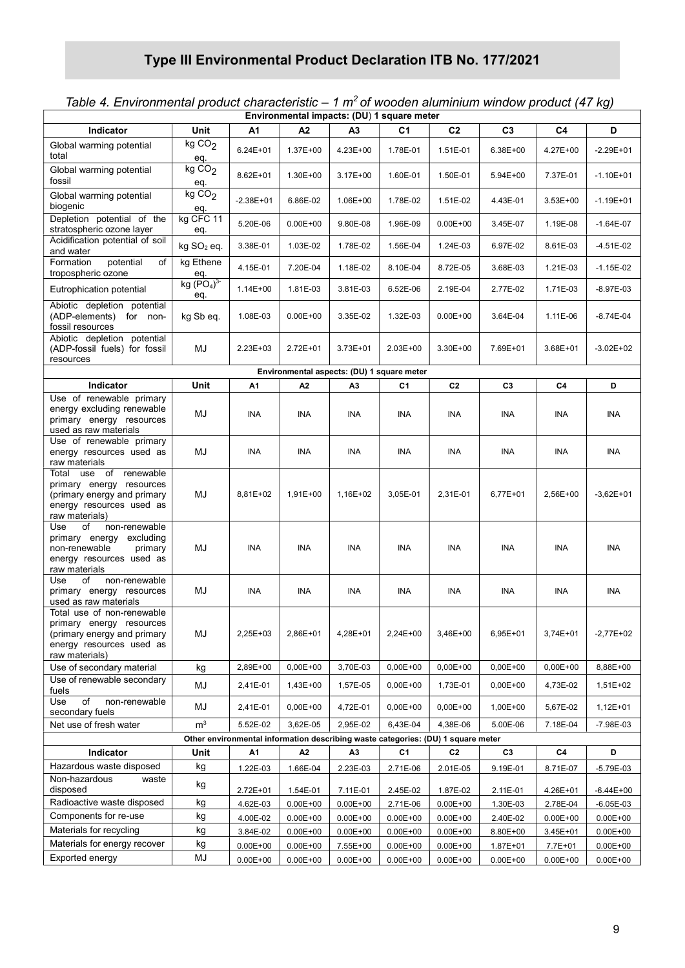| Environmental impacts: (DU) 1 square meter                                                                                          |                           |               |                                            |                |                |                |                |              |               |  |
|-------------------------------------------------------------------------------------------------------------------------------------|---------------------------|---------------|--------------------------------------------|----------------|----------------|----------------|----------------|--------------|---------------|--|
| Indicator                                                                                                                           | Unit                      | А1            | A2                                         | A <sub>3</sub> | C1             | C <sub>2</sub> | C <sub>3</sub> | C4           | D             |  |
| Global warming potential<br>total                                                                                                   | kg CO <sub>2</sub><br>eq. | $6.24E + 01$  | $1.37E + 00$                               | 4.23E+00       | 1.78E-01       | 1.51E-01       | 6.38E+00       | 4.27E+00     | $-2.29E + 01$ |  |
| Global warming potential<br>fossil                                                                                                  | kg CO <sub>2</sub><br>eq. | 8.62E+01      | 1.30E+00                                   | 3.17E+00       | 1.60E-01       | 1.50E-01       | 5.94E+00       | 7.37E-01     | $-1.10E + 01$ |  |
| Global warming potential<br>biogenic                                                                                                | kgCO <sub>2</sub><br>eq.  | $-2.38E + 01$ | 6.86E-02                                   | 1.06E+00       | 1.78E-02       | 1.51E-02       | 4.43E-01       | $3.53E + 00$ | $-1.19E + 01$ |  |
| Depletion potential of the<br>stratospheric ozone layer                                                                             | kg CFC 11<br>eq.          | 5.20E-06      | $0.00E + 00$                               | 9.80E-08       | 1.96E-09       | $0.00E + 00$   | 3.45E-07       | 1.19E-08     | $-1.64E-07$   |  |
| Acidification potential of soil<br>and water                                                                                        | kg SO <sub>2</sub> eq.    | 3.38E-01      | 1.03E-02                                   | 1.78E-02       | 1.56E-04       | 1.24E-03       | 6.97E-02       | 8.61E-03     | $-4.51E-02$   |  |
| Formation<br>potential<br>of<br>tropospheric ozone                                                                                  | kg Ethene<br>eq.          | 4.15E-01      | 7.20E-04                                   | 1.18E-02       | 8.10E-04       | 8.72E-05       | 3.68E-03       | 1.21E-03     | $-1.15E-02$   |  |
| Eutrophication potential                                                                                                            | kg $(PO4)3$<br>eq.        | $1.14E + 00$  | 1.81E-03                                   | 3.81E-03       | 6.52E-06       | 2.19E-04       | 2.77E-02       | 1.71E-03     | $-8.97E-03$   |  |
| Abiotic depletion potential<br>(ADP-elements) for non-<br>fossil resources                                                          | kg Sb eq.                 | 1.08E-03      | $0.00E + 00$                               | 3.35E-02       | 1.32E-03       | $0.00E + 00$   | 3.64E-04       | 1.11E-06     | $-8.74E-04$   |  |
| Abiotic depletion potential<br>(ADP-fossil fuels) for fossil<br>resources                                                           | MJ                        | 2.23E+03      | 2.72E+01                                   | 3.73E+01       | $2.03E + 00$   | 3.30E+00       | 7.69E+01       | 3.68E+01     | $-3.02E + 02$ |  |
|                                                                                                                                     |                           |               | Environmental aspects: (DU) 1 square meter |                |                |                |                |              |               |  |
| Indicator                                                                                                                           | Unit                      | Α1            | Α2                                         | А3             | C1             | C <sub>2</sub> | C3             | C4           | D             |  |
| Use of renewable primary<br>energy excluding renewable<br>primary energy resources<br>used as raw materials                         | MJ                        | <b>INA</b>    | <b>INA</b>                                 | INA            | <b>INA</b>     | <b>INA</b>     | <b>INA</b>     | INA          | INA           |  |
| Use of renewable primary<br>energy resources used as<br>raw materials                                                               | MJ                        | INA           | <b>INA</b>                                 | <b>INA</b>     | INA            | INA            | INA            | INA          | INA           |  |
| use of renewable<br>Total<br>primary energy resources<br>(primary energy and primary<br>energy resources used as<br>raw materials)  | MJ                        | 8,81E+02      | $1,91E+00$                                 | 1,16E+02       | 3,05E-01       | 2,31E-01       | 6,77E+01       | 2,56E+00     | $-3,62E+01$   |  |
| non-renewable<br>Use<br>of<br>primary energy excluding<br>non-renewable<br>primary<br>energy resources used as<br>raw materials     | MJ                        | INA           | INA                                        | <b>INA</b>     | INA            | ina            | INA            | INA          | ina           |  |
| Use<br>of<br>non-renewable<br>primary energy resources<br>used as raw materials                                                     | MJ                        | INA           | <b>INA</b>                                 | <b>INA</b>     | ina            | ina            | INA            | INA          | INA           |  |
| Total use of non-renewable<br>primary energy resources<br>(primary energy and primary<br>energy resources used as<br>raw materials) | MJ                        | 2,25E+03      | 2,86E+01                                   | 4,28E+01       | 2,24E+00       | 3,46E+00       | 6,95E+01       | 3,74E+01     | $-2,77E+02$   |  |
| Use of secondary material                                                                                                           | kg                        | 2,89E+00      | $0,00E + 00$                               | 3,70E-03       | $0,00E+00$     | $0,00E+00$     | $0.00E + 00$   | $0,00E+00$   | 8,88E+00      |  |
| Use of renewable secondary<br>fuels                                                                                                 | MJ                        | 2,41E-01      | $1,43E+00$                                 | 1,57E-05       | $0,00E + 00$   | 1,73E-01       | $0,00E+00$     | 4,73E-02     | 1,51E+02      |  |
| of<br>Use<br>non-renewable<br>secondary fuels                                                                                       | MJ                        | 2,41E-01      | $0,00E + 00$                               | 4,72E-01       | $0,00E + 00$   | $0,00E+00$     | 1,00E+00       | 5,67E-02     | $1,12E+01$    |  |
| Net use of fresh water                                                                                                              | m <sup>3</sup>            | 5.52E-02      | 3,62E-05                                   | 2,95E-02       | 6,43E-04       | 4,38E-06       | 5.00E-06       | 7.18E-04     | -7.98E-03     |  |
| Other environmental information describing waste categories: (DU) 1 square meter                                                    |                           |               |                                            |                |                |                |                |              |               |  |
| Indicator                                                                                                                           | Unit                      | A1            | A <sub>2</sub>                             | A <sub>3</sub> | C <sub>1</sub> | C <sub>2</sub> | C <sub>3</sub> | C4           | D             |  |
| Hazardous waste disposed<br>Non-hazardous<br>waste                                                                                  | kg                        | 1.22E-03      | 1.66E-04                                   | 2.23E-03       | 2.71E-06       | 2.01E-05       | 9.19E-01       | 8.71E-07     | -5.79E-03     |  |
| disposed<br>Radioactive waste disposed                                                                                              | kg                        | 2.72E+01      | 1.54E-01                                   | 7.11E-01       | 2.45E-02       | 1.87E-02       | 2.11E-01       | 4.26E+01     | $-6.44E + 00$ |  |
|                                                                                                                                     | kg                        | 4.62E-03      | $0.00E + 00$                               | $0.00E + 00$   | 2.71E-06       | $0.00E + 00$   | 1.30E-03       | 2.78E-04     | $-6.05E-03$   |  |
| Components for re-use<br>Materials for recycling                                                                                    | kg                        | 4.00E-02      | $0.00E + 00$                               | $0.00E + 00$   | $0.00E + 00$   | $0.00E + 00$   | 2.40E-02       | $0.00E + 00$ | $0.00E + 00$  |  |
| Materials for energy recover                                                                                                        | kg                        | 3.84E-02      | $0.00E + 00$                               | $0.00E + 00$   | $0.00E + 00$   | $0.00E + 00$   | 8.80E+00       | 3.45E+01     | $0.00E + 00$  |  |
| Exported energy                                                                                                                     | kg<br>MJ                  | $0.00E + 00$  | $0.00E + 00$                               | 7.55E+00       | $0.00E + 00$   | $0.00E + 00$   | 1.87E+01       | 7.7E+01      | $0.00E + 00$  |  |
|                                                                                                                                     |                           | $0.00E + 00$  | $0.00E + 00$                               | $0.00E + 00$   | $0.00E + 00$   | $0.00E + 00$   | $0.00E + 00$   | $0.00E + 00$ | $0.00E + 00$  |  |

# Table 4. Environmental product characteristic  $-1 \text{ m}^2$  of wooden aluminium window product (47 kg)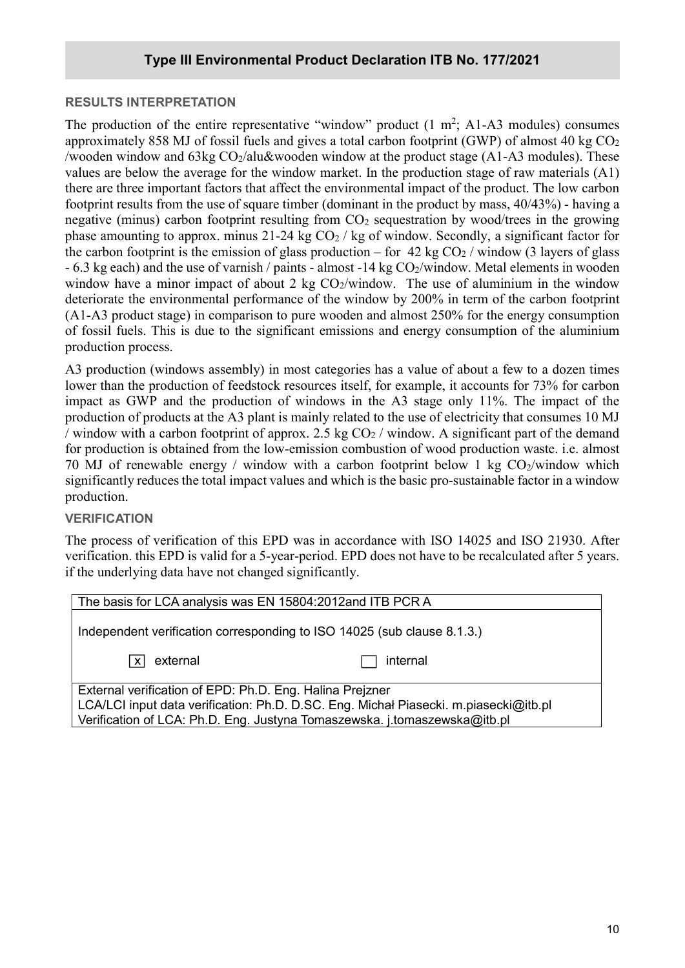#### RESULTS INTERPRETATION

The production of the entire representative "window" product  $(1 \text{ m}^2; \text{ A1-A3} \text{ modules})$  consumes approximately 858 MJ of fossil fuels and gives a total carbon footprint (GWP) of almost 40 kg  $CO<sub>2</sub>$ /wooden window and  $63\text{kg CO}_2$ /alu&wooden window at the product stage (A1-A3 modules). These values are below the average for the window market. In the production stage of raw materials (A1) there are three important factors that affect the environmental impact of the product. The low carbon footprint results from the use of square timber (dominant in the product by mass, 40/43%) - having a negative (minus) carbon footprint resulting from  $CO<sub>2</sub>$  sequestration by wood/trees in the growing phase amounting to approx. minus 21-24 kg  $CO<sub>2</sub>$  / kg of window. Secondly, a significant factor for the carbon footprint is the emission of glass production – for 42 kg  $CO<sub>2</sub>$  / window (3 layers of glass  $-6.3$  kg each) and the use of varnish / paints - almost  $-14$  kg CO<sub>2</sub>/window. Metal elements in wooden window have a minor impact of about 2 kg  $CO_2$ /window. The use of aluminium in the window deteriorate the environmental performance of the window by 200% in term of the carbon footprint (A1-A3 product stage) in comparison to pure wooden and almost 250% for the energy consumption of fossil fuels. This is due to the significant emissions and energy consumption of the aluminium production process.

A3 production (windows assembly) in most categories has a value of about a few to a dozen times lower than the production of feedstock resources itself, for example, it accounts for 73% for carbon impact as GWP and the production of windows in the A3 stage only 11%. The impact of the production of products at the A3 plant is mainly related to the use of electricity that consumes 10 MJ / window with a carbon footprint of approx. 2.5 kg  $CO<sub>2</sub>$  / window. A significant part of the demand for production is obtained from the low-emission combustion of wood production waste. i.e. almost 70 MJ of renewable energy / window with a carbon footprint below 1 kg  $CO_2$ /window which significantly reduces the total impact values and which is the basic pro-sustainable factor in a window production.

#### **VERIFICATION**

The process of verification of this EPD was in accordance with ISO 14025 and ISO 21930. After verification. this EPD is valid for a 5-year-period. EPD does not have to be recalculated after 5 years. if the underlying data have not changed significantly.

| The basis for LCA analysis was EN 15804:2012and ITB PCR A                                                                                                                                                                     |          |  |  |  |  |  |
|-------------------------------------------------------------------------------------------------------------------------------------------------------------------------------------------------------------------------------|----------|--|--|--|--|--|
| Independent verification corresponding to ISO 14025 (sub clause 8.1.3.)                                                                                                                                                       |          |  |  |  |  |  |
| external<br>l x l                                                                                                                                                                                                             | internal |  |  |  |  |  |
| External verification of EPD: Ph.D. Eng. Halina Prejzner<br>LCA/LCI input data verification: Ph.D. D.SC. Eng. Michał Piasecki. m.piasecki@itb.pl<br>Verification of LCA: Ph.D. Eng. Justyna Tomaszewska. j.tomaszewska@itb.pl |          |  |  |  |  |  |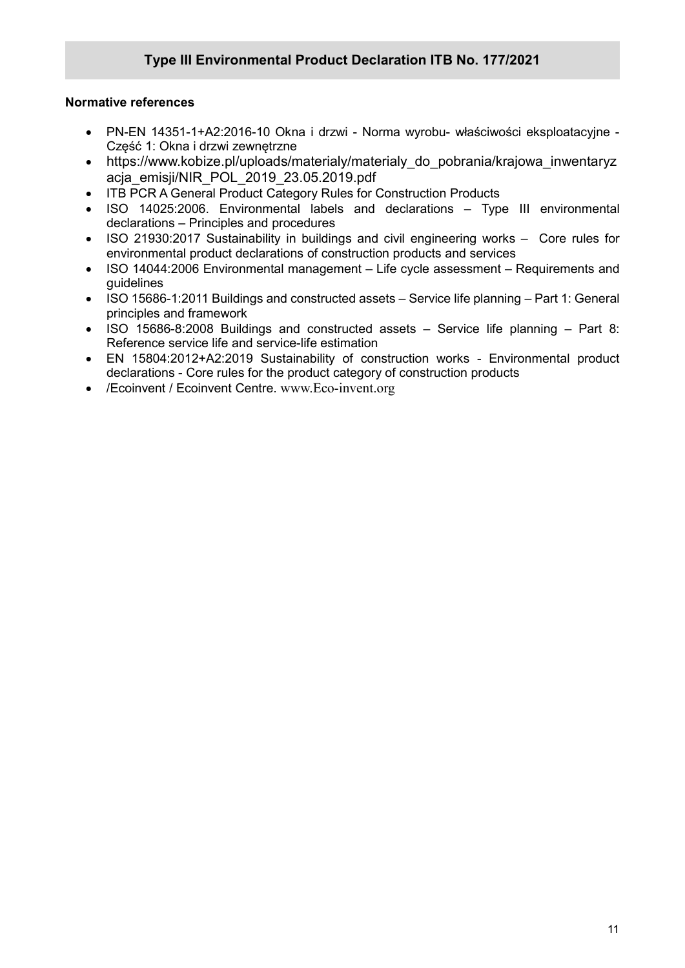#### Normative references

- PN-EN 14351-1+A2:2016-10 Okna i drzwi Norma wyrobu- właściwości eksploatacyjne Część 1: Okna i drzwi zewnętrzne
- https://www.kobize.pl/uploads/materialy/materialy\_do\_pobrania/krajowa\_inwentaryz acja\_emisji/NIR\_POL\_2019\_23.05.2019.pdf
- ITB PCR A General Product Category Rules for Construction Products
- ISO 14025:2006. Environmental labels and declarations Type III environmental declarations – Principles and procedures
- ISO 21930:2017 Sustainability in buildings and civil engineering works Core rules for environmental product declarations of construction products and services
- ISO 14044:2006 Environmental management Life cycle assessment Requirements and guidelines
- ISO 15686-1:2011 Buildings and constructed assets Service life planning Part 1: General principles and framework
- ISO 15686-8:2008 Buildings and constructed assets Service life planning Part 8: Reference service life and service-life estimation
- EN 15804:2012+A2:2019 Sustainability of construction works Environmental product declarations - Core rules for the product category of construction products
- /Ecoinvent / Ecoinvent Centre. www.Eco-invent.org